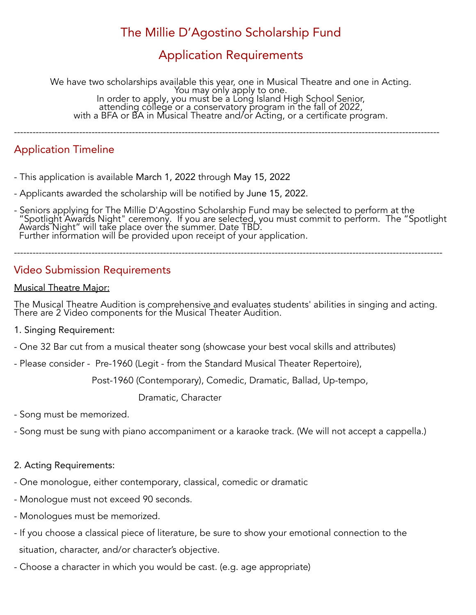# The Millie D'Agostino Scholarship Fund

## Application Requirements

We have two scholarships available this year, one in Musical Theatre and one in Acting. You may only apply to one. In order to apply, you must be a Long Island High School Senior, attending college or a conservatory program in the fall of 2022, with a BFA or BA in Musical Theatre and/or Acting, or a certificate program.

-----------------------------------------------------------------------------------------------------------------------------------------

### Application Timeline

- This application is available March 1, 2022 through May 15, 2022
- Applicants awarded the scholarship will be notified by June 15, 2022.
- Seniors applying for The Millie D'Agostino Scholarship Fund may be selected to perform at the "Spotlight Awards Night" ceremony. If you are selected, you must commit to perform. The "Spotlight Awards Night" will take place over the summer. Date TBD. Further information will be provided upon receipt of your application.

------------------------------------------------------------------------------------------------------------------------------------------

### Video Submission Requirements

#### Musical Theatre Major:

The Musical Theatre Audition is comprehensive and evaluates students' abilities in singing and acting. There are 2 Video components for the Musical Theater Audition.

- 1. Singing Requirement:
- One 32 Bar cut from a musical theater song (showcase your best vocal skills and attributes)
- Please consider Pre-1960 (Legit from the Standard Musical Theater Repertoire),

Post-1960 (Contemporary), Comedic, Dramatic, Ballad, Up-tempo,

Dramatic, Character

- Song must be memorized.
- Song must be sung with piano accompaniment or a karaoke track. (We will not accept a cappella.)
- 2. Acting Requirements:
- One monologue, either contemporary, classical, comedic or dramatic
- Monologue must not exceed 90 seconds.
- Monologues must be memorized.
- If you choose a classical piece of literature, be sure to show your emotional connection to the situation, character, and/or character's objective.
- Choose a character in which you would be cast. (e.g. age appropriate)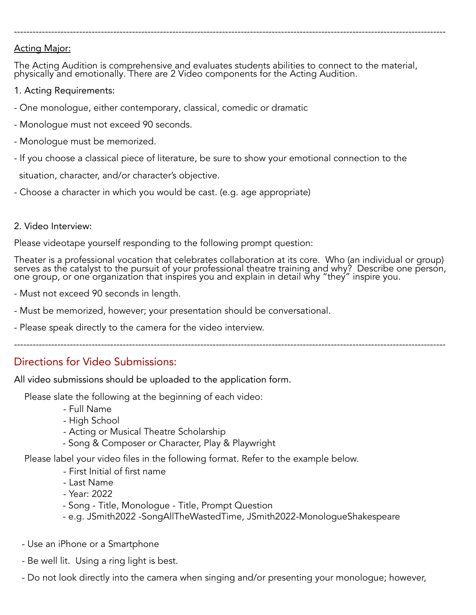### Acting Major:

The Acting Audition is comprehensive and evaluates students abilities to connect to the material, physically and emotionally. There are 2 Video components for the Acting Audition.

-------------------------------------------------------------------------------------------------------------------------------------------

- 1. Acting Requirements:
- One monologue, either contemporary, classical, comedic or dramatic
- Monologue must not exceed 90 seconds.
- Monologue must be memorized.
- If you choose a classical piece of literature, be sure to show your emotional connection to the situation, character, and/or character's objective.
- Choose a character in which you would be cast. (e.g. age appropriate)

### 2. Video Interview:

Please videotape yourself responding to the following prompt question:

Theater is a professional vocation that celebrates collaboration at its core. Who (an individual or group) serves as the catalyst to the pursuit of your professional theatre training and why? Describe one person, one group, or one organization that inspires you and explain in detail why "they" inspire you.

-------------------------------------------------------------------------------------------------------------------------------------------

- Must not exceed 90 seconds in length.
- Must be memorized, however; your presentation should be conversational.
- Please speak directly to the camera for the video interview.

### Directions for Video Submissions:

All video submissions should be uploaded to the application form.

Please slate the following at the beginning of each video:

- Full Name
- High School
- Acting or Musical Theatre Scholarship
- Song & Composer or Character, Play & Playwright

Please label your video files in the following format. Refer to the example below.

- First Initial of first name
- Last Name
- Year: 2022
- Song Title, Monologue Title, Prompt Question
- e.g. JSmith2022 -SongAllTheWastedTime, JSmith2022-MonologueShakespeare
- Use an iPhone or a Smartphone
- Be well lit. Using a ring light is best.
- Do not look directly into the camera when singing and/or presenting your monologue; however,